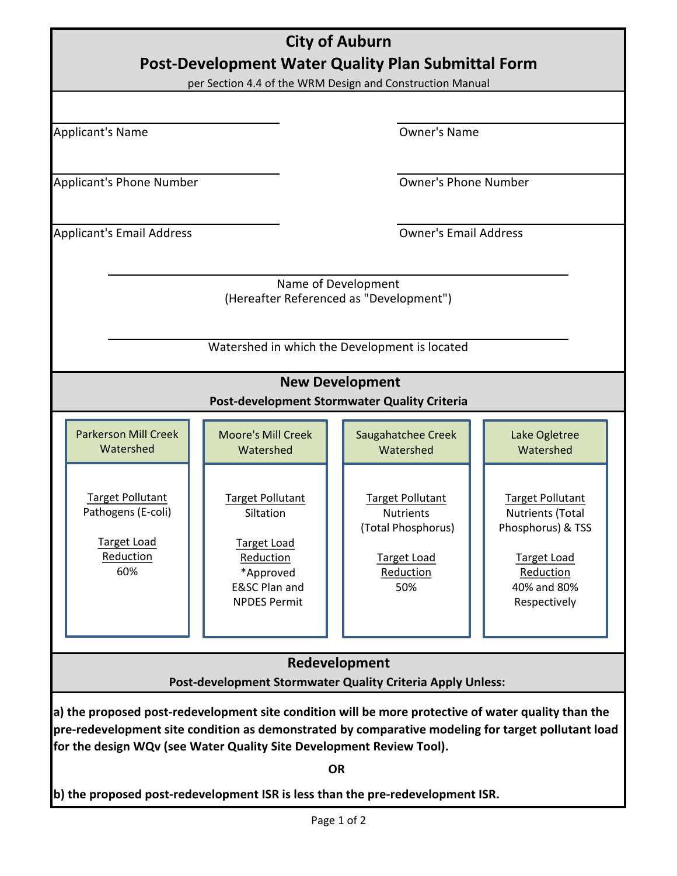| <b>City of Auburn</b>                                                                                                                                                                                                                                                                                                                                                            |                                                                                                                                         |                                                                                                             |                                                                                                                                           |  |
|----------------------------------------------------------------------------------------------------------------------------------------------------------------------------------------------------------------------------------------------------------------------------------------------------------------------------------------------------------------------------------|-----------------------------------------------------------------------------------------------------------------------------------------|-------------------------------------------------------------------------------------------------------------|-------------------------------------------------------------------------------------------------------------------------------------------|--|
| Post-Development Water Quality Plan Submittal Form<br>per Section 4.4 of the WRM Design and Construction Manual                                                                                                                                                                                                                                                                  |                                                                                                                                         |                                                                                                             |                                                                                                                                           |  |
|                                                                                                                                                                                                                                                                                                                                                                                  |                                                                                                                                         |                                                                                                             |                                                                                                                                           |  |
| <b>Applicant's Name</b>                                                                                                                                                                                                                                                                                                                                                          |                                                                                                                                         | <b>Owner's Name</b>                                                                                         |                                                                                                                                           |  |
| Applicant's Phone Number                                                                                                                                                                                                                                                                                                                                                         |                                                                                                                                         | <b>Owner's Phone Number</b>                                                                                 |                                                                                                                                           |  |
| <b>Applicant's Email Address</b>                                                                                                                                                                                                                                                                                                                                                 |                                                                                                                                         | <b>Owner's Email Address</b>                                                                                |                                                                                                                                           |  |
| Name of Development<br>(Hereafter Referenced as "Development")<br>Watershed in which the Development is located                                                                                                                                                                                                                                                                  |                                                                                                                                         |                                                                                                             |                                                                                                                                           |  |
| <b>New Development</b><br>Post-development Stormwater Quality Criteria                                                                                                                                                                                                                                                                                                           |                                                                                                                                         |                                                                                                             |                                                                                                                                           |  |
| <b>Parkerson Mill Creek</b><br>Watershed                                                                                                                                                                                                                                                                                                                                         | <b>Moore's Mill Creek</b><br>Watershed                                                                                                  | Saugahatchee Creek<br>Watershed                                                                             | Lake Ogletree<br>Watershed                                                                                                                |  |
| <b>Target Pollutant</b><br>Pathogens (E-coli)<br><b>Target Load</b><br>Reduction<br>60%                                                                                                                                                                                                                                                                                          | <b>Target Pollutant</b><br>Siltation<br><b>Target Load</b><br>Reduction<br>*Approved<br><b>E&amp;SC Plan and</b><br><b>NPDES Permit</b> | <b>Target Pollutant</b><br><b>Nutrients</b><br>(Total Phosphorus)<br><b>Target Load</b><br>Reduction<br>50% | <b>Target Pollutant</b><br><b>Nutrients (Total</b><br>Phosphorus) & TSS<br><b>Target Load</b><br>Reduction<br>40% and 80%<br>Respectively |  |
| Redevelopment<br>Post-development Stormwater Quality Criteria Apply Unless:                                                                                                                                                                                                                                                                                                      |                                                                                                                                         |                                                                                                             |                                                                                                                                           |  |
| a) the proposed post-redevelopment site condition will be more protective of water quality than the<br>pre-redevelopment site condition as demonstrated by comparative modeling for target pollutant load<br>for the design WQv (see Water Quality Site Development Review Tool).<br><b>OR</b><br>b) the proposed post-redevelopment ISR is less than the pre-redevelopment ISR. |                                                                                                                                         |                                                                                                             |                                                                                                                                           |  |